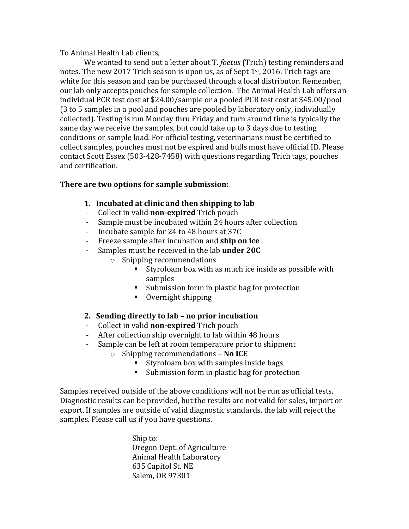To Animal Health Lab clients,

We wanted to send out a letter about T. *foetus* (Trich) testing reminders and notes. The new 2017 Trich season is upon us, as of Sept  $1<sup>st</sup>$ , 2016. Trich tags are white for this season and can be purchased through a local distributor. Remember, our lab only accepts pouches for sample collection. The Animal Health Lab offers an individual PCR test cost at \$24.00/sample or a pooled PCR test cost at \$45.00/pool (3 to 5 samples in a pool and pouches are pooled by laboratory only, individually collected). Testing is run Monday thru Friday and turn around time is typically the same day we receive the samples, but could take up to 3 days due to testing conditions or sample load. For official testing, veterinarians must be certified to collect samples, pouches must not be expired and bulls must have official ID. Please contact Scott Essex (503-428-7458) with questions regarding Trich tags, pouches and certification.

## **There are two options for sample submission:**

- **1. Incubated at clinic and then shipping to lab**
- Collect in valid **non-expired** Trich pouch
- Sample must be incubated within 24 hours after collection
- Incubate sample for 24 to 48 hours at 37C
- Freeze sample after incubation and **ship on ice**
- Samples must be received in the lab **under 20C** 
	- $\circ$  Shipping recommendations
		- Styrofoam box with as much ice inside as possible with samples
		- Submission form in plastic bag for protection
		- Overnight shipping
- **2. Sending directly to lab – no prior incubation**
- Collect in valid **non-expired** Trich pouch
- After collection ship overnight to lab within 48 hours
- Sample can be left at room temperature prior to shipment
	- o Shipping recommendations **No ICE**
		- Styrofoam box with samples inside bags
		- Submission form in plastic bag for protection

Samples received outside of the above conditions will not be run as official tests. Diagnostic results can be provided, but the results are not valid for sales, import or export. If samples are outside of valid diagnostic standards, the lab will reject the samples. Please call us if you have questions.

> Ship to: Oregon Dept. of Agriculture Animal Health Laboratory 635 Capitol St. NE Salem, OR 97301